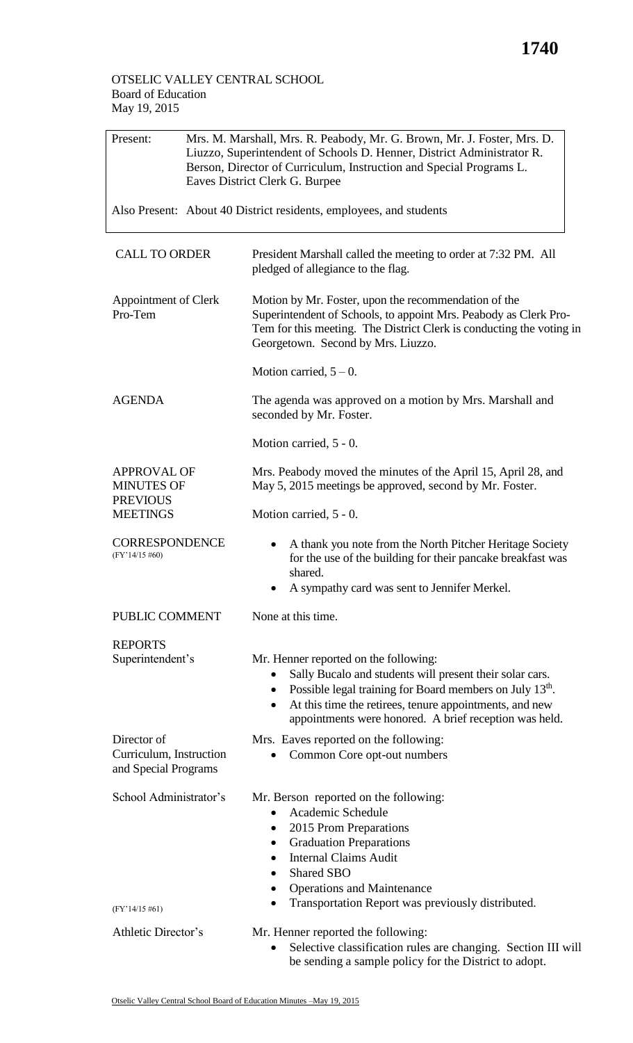## OTSELIC VALLEY CENTRAL SCHOOL Board of Education May 19, 2015

| Present:                                                       | Mrs. M. Marshall, Mrs. R. Peabody, Mr. G. Brown, Mr. J. Foster, Mrs. D.<br>Liuzzo, Superintendent of Schools D. Henner, District Administrator R.<br>Berson, Director of Curriculum, Instruction and Special Programs L.<br>Eaves District Clerk G. Burpee<br>Also Present: About 40 District residents, employees, and students |                                                                                                                                                                                                                                                                                                                          |  |  |  |
|----------------------------------------------------------------|----------------------------------------------------------------------------------------------------------------------------------------------------------------------------------------------------------------------------------------------------------------------------------------------------------------------------------|--------------------------------------------------------------------------------------------------------------------------------------------------------------------------------------------------------------------------------------------------------------------------------------------------------------------------|--|--|--|
|                                                                |                                                                                                                                                                                                                                                                                                                                  |                                                                                                                                                                                                                                                                                                                          |  |  |  |
| <b>CALL TO ORDER</b>                                           |                                                                                                                                                                                                                                                                                                                                  | President Marshall called the meeting to order at 7:32 PM. All<br>pledged of allegiance to the flag.                                                                                                                                                                                                                     |  |  |  |
| Appointment of Clerk<br>Pro-Tem                                |                                                                                                                                                                                                                                                                                                                                  | Motion by Mr. Foster, upon the recommendation of the<br>Superintendent of Schools, to appoint Mrs. Peabody as Clerk Pro-<br>Tem for this meeting. The District Clerk is conducting the voting in<br>Georgetown. Second by Mrs. Liuzzo.                                                                                   |  |  |  |
|                                                                |                                                                                                                                                                                                                                                                                                                                  | Motion carried, $5 - 0$ .                                                                                                                                                                                                                                                                                                |  |  |  |
| <b>AGENDA</b>                                                  |                                                                                                                                                                                                                                                                                                                                  | The agenda was approved on a motion by Mrs. Marshall and<br>seconded by Mr. Foster.                                                                                                                                                                                                                                      |  |  |  |
|                                                                |                                                                                                                                                                                                                                                                                                                                  | Motion carried, 5 - 0.                                                                                                                                                                                                                                                                                                   |  |  |  |
| <b>APPROVAL OF</b><br><b>MINUTES OF</b>                        |                                                                                                                                                                                                                                                                                                                                  | Mrs. Peabody moved the minutes of the April 15, April 28, and<br>May 5, 2015 meetings be approved, second by Mr. Foster.                                                                                                                                                                                                 |  |  |  |
| <b>PREVIOUS</b><br><b>MEETINGS</b>                             |                                                                                                                                                                                                                                                                                                                                  | Motion carried, 5 - 0.                                                                                                                                                                                                                                                                                                   |  |  |  |
| <b>CORRESPONDENCE</b><br>$(FY'14/15\#60)$                      |                                                                                                                                                                                                                                                                                                                                  | A thank you note from the North Pitcher Heritage Society<br>for the use of the building for their pancake breakfast was<br>shared.<br>A sympathy card was sent to Jennifer Merkel.                                                                                                                                       |  |  |  |
| PUBLIC COMMENT                                                 |                                                                                                                                                                                                                                                                                                                                  | None at this time.                                                                                                                                                                                                                                                                                                       |  |  |  |
| <b>REPORTS</b>                                                 |                                                                                                                                                                                                                                                                                                                                  |                                                                                                                                                                                                                                                                                                                          |  |  |  |
| Superintendent's                                               |                                                                                                                                                                                                                                                                                                                                  | Mr. Henner reported on the following:<br>Sally Bucalo and students will present their solar cars.<br>Possible legal training for Board members on July 13 <sup>th</sup> .<br>$\bullet$<br>At this time the retirees, tenure appointments, and new<br>$\bullet$<br>appointments were honored. A brief reception was held. |  |  |  |
| Director of<br>Curriculum, Instruction<br>and Special Programs |                                                                                                                                                                                                                                                                                                                                  | Mrs. Eaves reported on the following:<br>Common Core opt-out numbers                                                                                                                                                                                                                                                     |  |  |  |
| School Administrator's<br>$(FY'14/15\#61)$                     |                                                                                                                                                                                                                                                                                                                                  | Mr. Berson reported on the following:<br>Academic Schedule<br>2015 Prom Preparations<br>$\bullet$<br><b>Graduation Preparations</b><br>٠<br><b>Internal Claims Audit</b><br><b>Shared SBO</b><br>$\bullet$<br><b>Operations and Maintenance</b><br>Transportation Report was previously distributed.                     |  |  |  |
| Athletic Director's                                            |                                                                                                                                                                                                                                                                                                                                  | Mr. Henner reported the following:                                                                                                                                                                                                                                                                                       |  |  |  |
|                                                                |                                                                                                                                                                                                                                                                                                                                  | Selective classification rules are changing. Section III will<br>be sending a sample policy for the District to adopt.                                                                                                                                                                                                   |  |  |  |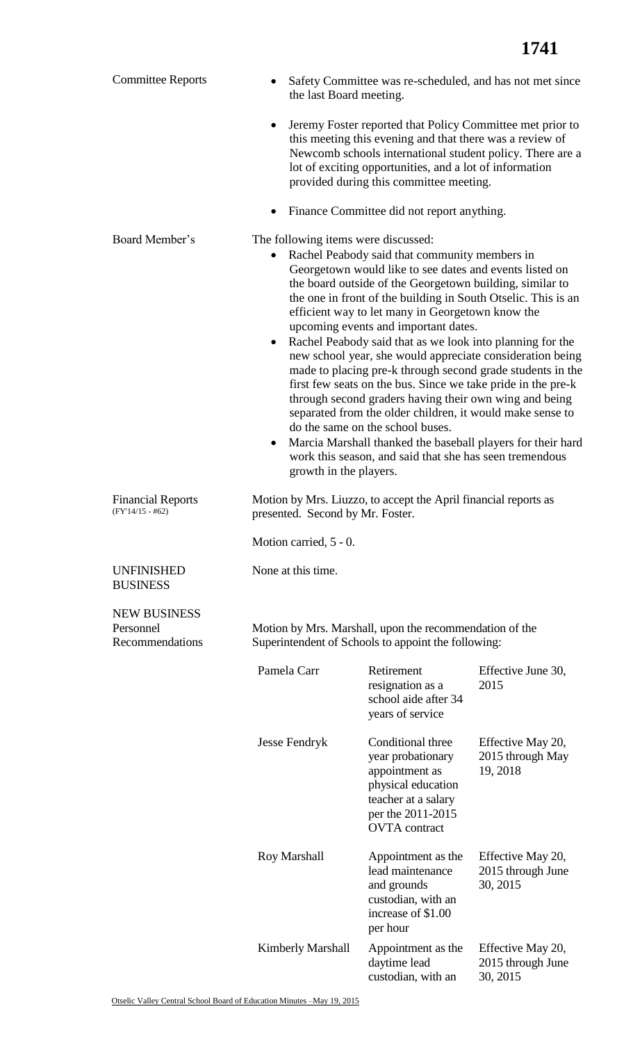| <b>Committee Reports</b>                                                                                                                                              | Safety Committee was re-scheduled, and has not met since<br>the last Board meeting.                                                                                                                                                                                                                                                                                                                                                                                                                                                                                                                                                                                                                                                                                                                                                                                                                                                                       |                                                                                                                                                                                                                                                                                          |                                                    |  |
|-----------------------------------------------------------------------------------------------------------------------------------------------------------------------|-----------------------------------------------------------------------------------------------------------------------------------------------------------------------------------------------------------------------------------------------------------------------------------------------------------------------------------------------------------------------------------------------------------------------------------------------------------------------------------------------------------------------------------------------------------------------------------------------------------------------------------------------------------------------------------------------------------------------------------------------------------------------------------------------------------------------------------------------------------------------------------------------------------------------------------------------------------|------------------------------------------------------------------------------------------------------------------------------------------------------------------------------------------------------------------------------------------------------------------------------------------|----------------------------------------------------|--|
|                                                                                                                                                                       |                                                                                                                                                                                                                                                                                                                                                                                                                                                                                                                                                                                                                                                                                                                                                                                                                                                                                                                                                           | Jeremy Foster reported that Policy Committee met prior to<br>this meeting this evening and that there was a review of<br>Newcomb schools international student policy. There are a<br>lot of exciting opportunities, and a lot of information<br>provided during this committee meeting. |                                                    |  |
|                                                                                                                                                                       |                                                                                                                                                                                                                                                                                                                                                                                                                                                                                                                                                                                                                                                                                                                                                                                                                                                                                                                                                           | Finance Committee did not report anything.                                                                                                                                                                                                                                               |                                                    |  |
| Board Member's                                                                                                                                                        | The following items were discussed:<br>Rachel Peabody said that community members in<br>Georgetown would like to see dates and events listed on<br>the board outside of the Georgetown building, similar to<br>the one in front of the building in South Otselic. This is an<br>efficient way to let many in Georgetown know the<br>upcoming events and important dates.<br>Rachel Peabody said that as we look into planning for the<br>٠<br>new school year, she would appreciate consideration being<br>made to placing pre-k through second grade students in the<br>first few seats on the bus. Since we take pride in the pre-k<br>through second graders having their own wing and being<br>separated from the older children, it would make sense to<br>do the same on the school buses.<br>Marcia Marshall thanked the baseball players for their hard<br>٠<br>work this season, and said that she has seen tremendous<br>growth in the players. |                                                                                                                                                                                                                                                                                          |                                                    |  |
| <b>Financial Reports</b><br>$(FY'14/15 - #62)$                                                                                                                        | Motion by Mrs. Liuzzo, to accept the April financial reports as<br>presented. Second by Mr. Foster.                                                                                                                                                                                                                                                                                                                                                                                                                                                                                                                                                                                                                                                                                                                                                                                                                                                       |                                                                                                                                                                                                                                                                                          |                                                    |  |
|                                                                                                                                                                       | Motion carried, 5 - 0.                                                                                                                                                                                                                                                                                                                                                                                                                                                                                                                                                                                                                                                                                                                                                                                                                                                                                                                                    |                                                                                                                                                                                                                                                                                          |                                                    |  |
| <b>UNFINISHED</b><br><b>BUSINESS</b>                                                                                                                                  | None at this time.                                                                                                                                                                                                                                                                                                                                                                                                                                                                                                                                                                                                                                                                                                                                                                                                                                                                                                                                        |                                                                                                                                                                                                                                                                                          |                                                    |  |
| <b>NEW BUSINESS</b><br>Personnel<br>Motion by Mrs. Marshall, upon the recommendation of the<br>Recommendations<br>Superintendent of Schools to appoint the following: |                                                                                                                                                                                                                                                                                                                                                                                                                                                                                                                                                                                                                                                                                                                                                                                                                                                                                                                                                           |                                                                                                                                                                                                                                                                                          |                                                    |  |
|                                                                                                                                                                       | Pamela Carr                                                                                                                                                                                                                                                                                                                                                                                                                                                                                                                                                                                                                                                                                                                                                                                                                                                                                                                                               | Retirement<br>resignation as a<br>school aide after 34<br>years of service                                                                                                                                                                                                               | Effective June 30,<br>2015                         |  |
|                                                                                                                                                                       | <b>Jesse Fendryk</b>                                                                                                                                                                                                                                                                                                                                                                                                                                                                                                                                                                                                                                                                                                                                                                                                                                                                                                                                      | Conditional three<br>year probationary<br>appointment as<br>physical education<br>teacher at a salary<br>per the 2011-2015<br><b>OVTA</b> contract                                                                                                                                       | Effective May 20,<br>2015 through May<br>19, 2018  |  |
|                                                                                                                                                                       | Roy Marshall                                                                                                                                                                                                                                                                                                                                                                                                                                                                                                                                                                                                                                                                                                                                                                                                                                                                                                                                              | Appointment as the<br>lead maintenance<br>and grounds<br>custodian, with an<br>increase of \$1.00<br>per hour                                                                                                                                                                            | Effective May 20,<br>2015 through June<br>30, 2015 |  |
|                                                                                                                                                                       | <b>Kimberly Marshall</b>                                                                                                                                                                                                                                                                                                                                                                                                                                                                                                                                                                                                                                                                                                                                                                                                                                                                                                                                  | Appointment as the<br>daytime lead                                                                                                                                                                                                                                                       | Effective May 20,<br>2015 through June             |  |

custodian, with an

30, 2015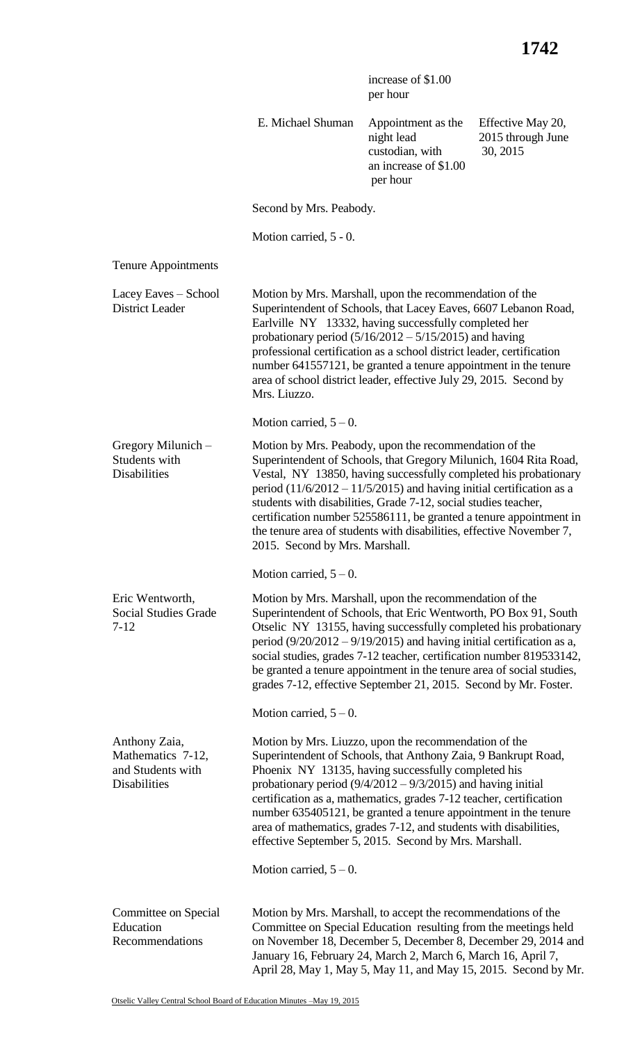|                                                                                |                                                                                                                                                                                                                                                                                                                                                                                                                                                                                                                             | increase of \$1.00<br>per hour                                                                                                                                                                                                                                                                                                                                                                                                                                                                                           |                                                    |  |
|--------------------------------------------------------------------------------|-----------------------------------------------------------------------------------------------------------------------------------------------------------------------------------------------------------------------------------------------------------------------------------------------------------------------------------------------------------------------------------------------------------------------------------------------------------------------------------------------------------------------------|--------------------------------------------------------------------------------------------------------------------------------------------------------------------------------------------------------------------------------------------------------------------------------------------------------------------------------------------------------------------------------------------------------------------------------------------------------------------------------------------------------------------------|----------------------------------------------------|--|
|                                                                                | E. Michael Shuman                                                                                                                                                                                                                                                                                                                                                                                                                                                                                                           | Appointment as the<br>night lead<br>custodian, with<br>an increase of \$1.00<br>per hour                                                                                                                                                                                                                                                                                                                                                                                                                                 | Effective May 20,<br>2015 through June<br>30, 2015 |  |
|                                                                                | Second by Mrs. Peabody.                                                                                                                                                                                                                                                                                                                                                                                                                                                                                                     |                                                                                                                                                                                                                                                                                                                                                                                                                                                                                                                          |                                                    |  |
|                                                                                | Motion carried, 5 - 0.                                                                                                                                                                                                                                                                                                                                                                                                                                                                                                      |                                                                                                                                                                                                                                                                                                                                                                                                                                                                                                                          |                                                    |  |
| <b>Tenure Appointments</b>                                                     |                                                                                                                                                                                                                                                                                                                                                                                                                                                                                                                             |                                                                                                                                                                                                                                                                                                                                                                                                                                                                                                                          |                                                    |  |
| Lacey Eaves - School<br><b>District Leader</b>                                 | Motion by Mrs. Marshall, upon the recommendation of the<br>Superintendent of Schools, that Lacey Eaves, 6607 Lebanon Road,<br>Earlville NY 13332, having successfully completed her<br>probationary period $(5/16/2012 - 5/15/2015)$ and having<br>professional certification as a school district leader, certification<br>number 641557121, be granted a tenure appointment in the tenure<br>area of school district leader, effective July 29, 2015. Second by<br>Mrs. Liuzzo.                                           |                                                                                                                                                                                                                                                                                                                                                                                                                                                                                                                          |                                                    |  |
|                                                                                | Motion carried, $5-0$ .                                                                                                                                                                                                                                                                                                                                                                                                                                                                                                     |                                                                                                                                                                                                                                                                                                                                                                                                                                                                                                                          |                                                    |  |
| Gregory Milunich -<br>Students with<br><b>Disabilities</b>                     | Motion by Mrs. Peabody, upon the recommendation of the<br>Superintendent of Schools, that Gregory Milunich, 1604 Rita Road,<br>Vestal, NY 13850, having successfully completed his probationary<br>period $(11/6/2012 - 11/5/2015)$ and having initial certification as a<br>students with disabilities, Grade 7-12, social studies teacher,<br>certification number 525586111, be granted a tenure appointment in<br>the tenure area of students with disabilities, effective November 7<br>2015. Second by Mrs. Marshall. |                                                                                                                                                                                                                                                                                                                                                                                                                                                                                                                          |                                                    |  |
|                                                                                | Motion carried, $5 - 0$ .                                                                                                                                                                                                                                                                                                                                                                                                                                                                                                   |                                                                                                                                                                                                                                                                                                                                                                                                                                                                                                                          |                                                    |  |
| Eric Wentworth,<br><b>Social Studies Grade</b><br>$7 - 12$                     | Motion by Mrs. Marshall, upon the recommendation of the<br>Superintendent of Schools, that Eric Wentworth, PO Box 91, South<br>Otselic NY 13155, having successfully completed his probationary<br>period $(9/20/2012 - 9/19/2015)$ and having initial certification as a,<br>social studies, grades 7-12 teacher, certification number 819533142,<br>be granted a tenure appointment in the tenure area of social studies,<br>grades 7-12, effective September 21, 2015. Second by Mr. Foster.                             |                                                                                                                                                                                                                                                                                                                                                                                                                                                                                                                          |                                                    |  |
|                                                                                | Motion carried, $5 - 0$ .                                                                                                                                                                                                                                                                                                                                                                                                                                                                                                   |                                                                                                                                                                                                                                                                                                                                                                                                                                                                                                                          |                                                    |  |
| Anthony Zaia,<br>Mathematics 7-12,<br>and Students with<br><b>Disabilities</b> |                                                                                                                                                                                                                                                                                                                                                                                                                                                                                                                             | Motion by Mrs. Liuzzo, upon the recommendation of the<br>Superintendent of Schools, that Anthony Zaia, 9 Bankrupt Road,<br>Phoenix NY 13135, having successfully completed his<br>probationary period $(9/4/2012 - 9/3/2015)$ and having initial<br>certification as a, mathematics, grades 7-12 teacher, certification<br>number 635405121, be granted a tenure appointment in the tenure<br>area of mathematics, grades 7-12, and students with disabilities,<br>effective September 5, 2015. Second by Mrs. Marshall. |                                                    |  |
|                                                                                | Motion carried, $5 - 0$ .                                                                                                                                                                                                                                                                                                                                                                                                                                                                                                   |                                                                                                                                                                                                                                                                                                                                                                                                                                                                                                                          |                                                    |  |
| Committee on Special<br>Education<br>Recommendations                           | Motion by Mrs. Marshall, to accept the recommendations of the<br>Committee on Special Education resulting from the meetings held<br>on November 18, December 5, December 8, December 29, 2014 and<br>January 16, February 24, March 2, March 6, March 16, April 7,<br>April 28, May 1, May 5, May 11, and May 15, 2015. Second by Mr.                                                                                                                                                                                       |                                                                                                                                                                                                                                                                                                                                                                                                                                                                                                                          |                                                    |  |